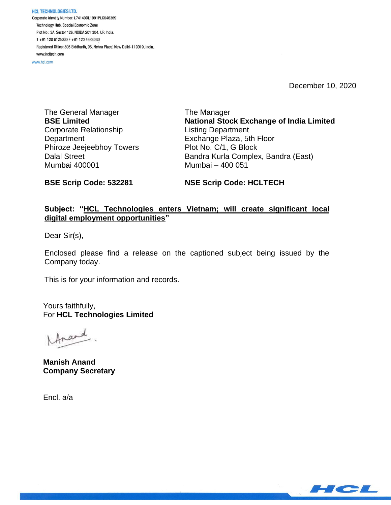**HCL TECHNOLOGIES LTD.** Corporate Identity Number: L74140DL1991PLC046369 Technology Hub, Special Economic Zone Plot No: 3A, Sector 126, NOIDA 201 304, UP, India. T+91 120 6125000 F+91 120 4683030 Registered Office: 806 Siddharth, 96, Nehru Place, New Delhi-110019, India. www.hcltech.com

www.hcl.com

December 10, 2020

The General Manager **BSE Limited** Corporate Relationship **Department** Phiroze Jeejeebhoy Towers Dalal Street Mumbai 400001

The Manager **National Stock Exchange of India Limited** Listing Department Exchange Plaza, 5th Floor Plot No. C/1, G Block Bandra Kurla Complex, Bandra (East) Mumbai – 400 051

**BSE Scrip Code: 532281**

**NSE Scrip Code: HCLTECH**

## **Subject: "HCL Technologies enters Vietnam; will create significant local digital employment opportunities"**

Dear Sir(s),

Enclosed please find a release on the captioned subject being issued by the Company today.

This is for your information and records.

Yours faithfully, For **HCL Technologies Limited**

frand

**Manish Anand Company Secretary**

Encl. a/a

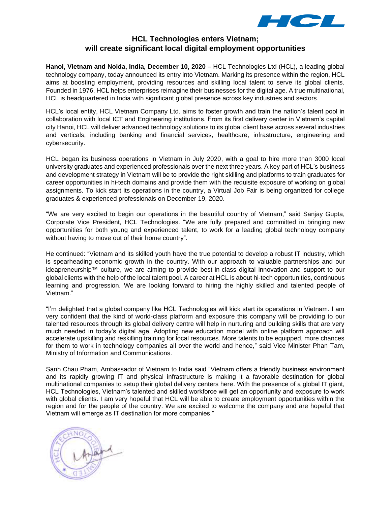

# **HCL Technologies enters Vietnam; will create significant local digital employment opportunities**

**Hanoi, Vietnam and Noida, India, December 10, 2020 –** HCL Technologies Ltd (HCL), a leading global technology company, today announced its entry into Vietnam. Marking its presence within the region, HCL aims at boosting employment, providing resources and skilling local talent to serve its global clients. Founded in 1976, HCL helps enterprises reimagine their businesses for the digital age. A true multinational, HCL is headquartered in India with significant global presence across key industries and sectors.

HCL's local entity, HCL Vietnam Company Ltd. aims to foster growth and train the nation's talent pool in collaboration with local ICT and Engineering institutions. From its first delivery center in Vietnam's capital city Hanoi, HCL will deliver advanced technology solutions to its global client base across several industries and verticals, including banking and financial services, healthcare, infrastructure, engineering and cybersecurity.

HCL began its business operations in Vietnam in July 2020, with a goal to hire more than 3000 local university graduates and experienced professionals over the next three years. A key part of HCL's business and development strategy in Vietnam will be to provide the right skilling and platforms to train graduates for career opportunities in hi-tech domains and provide them with the requisite exposure of working on global assignments. To kick start its operations in the country, a Virtual Job Fair is being organized for college graduates & experienced professionals on December 19, 2020.

"We are very excited to begin our operations in the beautiful country of Vietnam," said Sanjay Gupta, Corporate Vice President, HCL Technologies. "We are fully prepared and committed in bringing new opportunities for both young and experienced talent, to work for a leading global technology company without having to move out of their home country".

He continued: "Vietnam and its skilled youth have the true potential to develop a robust IT industry, which is spearheading economic growth in the country. With our approach to valuable partnerships and our ideapreneurship™ culture, we are aiming to provide best-in-class digital innovation and support to our global clients with the help of the local talent pool. A career at HCL is about hi-tech opportunities, continuous learning and progression. We are looking forward to hiring the highly skilled and talented people of Vietnam."

"I'm delighted that a global company like HCL Technologies will kick start its operations in Vietnam. I am very confident that the kind of world-class platform and exposure this company will be providing to our talented resources through its global delivery centre will help in nurturing and building skills that are very much needed in today's digital age. Adopting new education model with online platform approach will accelerate upskilling and reskilling training for local resources. More talents to be equipped, more chances for them to work in technology companies all over the world and hence," said Vice Minister Phan Tam, Ministry of Information and Communications.

Sanh Chau Pham, Ambassador of Vietnam to India said "Vietnam offers a friendly business environment and its rapidly growing IT and physical infrastructure is making it a favorable destination for global multinational companies to setup their global delivery centers here. With the presence of a global IT giant, HCL Technologies, Vietnam's talented and skilled workforce will get an opportunity and exposure to work with global clients. I am very hopeful that HCL will be able to create employment opportunities within the region and for the people of the country. We are excited to welcome the company and are hopeful that Vietnam will emerge as IT destination for more companies."

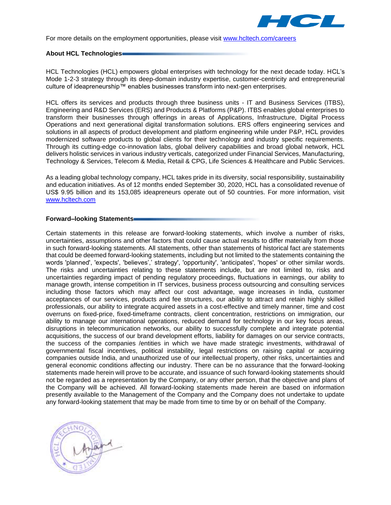

For more details on the employment opportunities, please visit [www.hcltech.com/careers](http://www.hcltech.com/careers) 

#### **About HCL Technologies**

HCL Technologies (HCL) empowers global enterprises with technology for the next decade today. HCL's Mode 1-2-3 strategy through its deep-domain industry expertise, customer-centricity and entrepreneurial culture of ideapreneurship™ enables businesses transform into next-gen enterprises.

HCL offers its services and products through three business units - IT and Business Services (ITBS), Engineering and R&D Services (ERS) and Products & Platforms (P&P). ITBS enables global enterprises to transform their businesses through offerings in areas of Applications, Infrastructure, Digital Process Operations and next generational digital transformation solutions. ERS offers engineering services and solutions in all aspects of product development and platform engineering while under P&P, HCL provides modernized software products to global clients for their technology and industry specific requirements. Through its cutting-edge co-innovation labs, global delivery capabilities and broad global network, HCL delivers holistic services in various industry verticals, categorized under Financial Services, Manufacturing, Technology & Services, Telecom & Media, Retail & CPG, Life Sciences & Healthcare and Public Services.

As a leading global technology company, HCL takes pride in its diversity, social responsibility, sustainability and education initiatives. As of 12 months ended September 30, 2020, HCL has a consolidated revenue of US\$ 9.95 billion and its 153,085 ideapreneurs operate out of 50 countries. For more information, visit [www.hcltech.com](http://www.hcltech.com/)

#### **Forward–looking Statements**

Certain statements in this release are forward-looking statements, which involve a number of risks, uncertainties, assumptions and other factors that could cause actual results to differ materially from those in such forward-looking statements. All statements, other than statements of historical fact are statements that could be deemed forward-looking statements, including but not limited to the statements containing the words 'planned', 'expects', 'believes',' strategy', 'opportunity', 'anticipates', 'hopes' or other similar words. The risks and uncertainties relating to these statements include, but are not limited to, risks and uncertainties regarding impact of pending regulatory proceedings, fluctuations in earnings, our ability to manage growth, intense competition in IT services, business process outsourcing and consulting services including those factors which may affect our cost advantage, wage increases in India, customer acceptances of our services, products and fee structures, our ability to attract and retain highly skilled professionals, our ability to integrate acquired assets in a cost-effective and timely manner, time and cost overruns on fixed-price, fixed-timeframe contracts, client concentration, restrictions on immigration, our ability to manage our international operations, reduced demand for technology in our key focus areas, disruptions in telecommunication networks, our ability to successfully complete and integrate potential acquisitions, the success of our brand development efforts, liability for damages on our service contracts, the success of the companies /entities in which we have made strategic investments, withdrawal of governmental fiscal incentives, political instability, legal restrictions on raising capital or acquiring companies outside India, and unauthorized use of our intellectual property, other risks, uncertainties and general economic conditions affecting our industry. There can be no assurance that the forward-looking statements made herein will prove to be accurate, and issuance of such forward-looking statements should not be regarded as a representation by the Company, or any other person, that the objective and plans of the Company will be achieved. All forward-looking statements made herein are based on information presently available to the Management of the Company and the Company does not undertake to update any forward-looking statement that may be made from time to time by or on behalf of the Company.